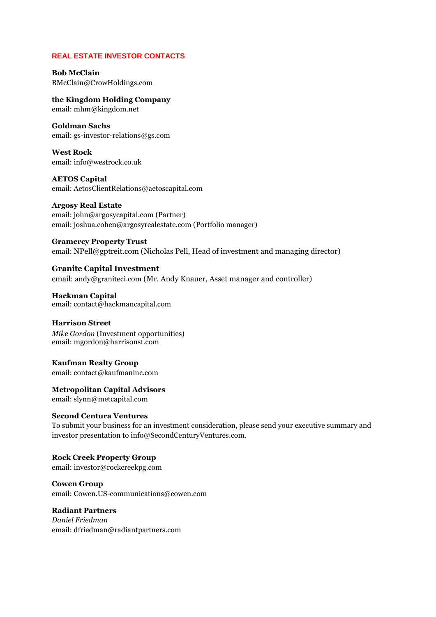# **REAL ESTATE INVESTOR CONTACTS**

**Bob McClain** [BMcClain@CrowHoldings.com](mailto:BMcClain@CrowHoldings.com)

**the Kingdom Holding Company** email: [mhm@kingdom.net](mailto:mhm@kingdom.net)

**Goldman Sachs** email: [gs-investor-relations@gs.com](mailto:gs-investor-relations@gs.com)

**West Rock** email: [info@westrock.co.uk](mailto:info@westrock.co.uk)

**AETOS Capital** email: [AetosClientRelations@aetoscapital.com](mailto:AetosClientRelations@aetoscapital.com)

**Argosy Real Estate** email: [john@argosycapital.com](mailto:john@argosycapital.com) (Partner) email: [joshua.cohen@argosyrealestate.com](mailto:joshua.cohen@argosyrealestate.com) (Portfolio manager)

**Gramercy Property Trust** email: [NPell@gptreit.com](mailto:NPell@gptreit.com) (Nicholas Pell, Head of investment and managing director)

**Granite Capital Investment** email: andy@graniteci.com (Mr. Andy Knauer, Asset manager and controller)

**Hackman Capital** email: [contact@hackmancapital.com](mailto:contact@hackmancapital.com)

**Harrison Street** *Mike Gordon* (Investment opportunities) email: [mgordon@harrisonst.com](mailto:mgordon@harrisonst.com)

**Kaufman Realty Group** email: contact@kaufmaninc.com

**Metropolitan Capital Advisors** email: slynn@metcapital.com

# **Second Centura Ventures**

To submit your business for an investment consideration, please send your executive summary and investor presentation to [info@SecondCenturyVentures.com.](mailto:info@SecondCenturyVentures.com)

**Rock Creek Property Group** email: investor@rockcreekpg.com

**Cowen Group** email: [Cowen.US-communications@cowen.com](mailto:Cowen.US-communications@cowen.com)

**Radiant Partners** *Daniel Friedman* email: dfriedman@radiantpartners.com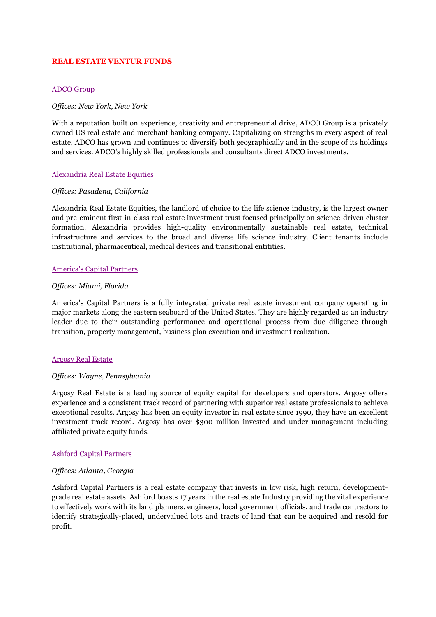### **REAL ESTATE VENTUR FUNDS**

### [ADCO Group](http://www.adco-group.com/)

#### *Offices: New York, New York*

With a reputation built on experience, creativity and entrepreneurial drive, ADCO Group is a privately owned US real estate and merchant banking company. Capitalizing on strengths in every aspect of real estate, ADCO has grown and continues to diversify both geographically and in the scope of its holdings and services. ADCO's highly skilled professionals and consultants direct ADCO investments.

## [Alexandria Real Estate Equities](http://www.labspace.com/)

#### *Offices: Pasadena, California*

Alexandria Real Estate Equities, the landlord of choice to the life science industry, is the largest owner and pre-eminent first-in-class real estate investment trust focused principally on science-driven cluster formation. Alexandria provides high-quality environmentally sustainable real estate, technical infrastructure and services to the broad and diverse life science industry. Client tenants include institutional, pharmaceutical, medical devices and transitional entitities.

## [America's Capital Partners](http://www.americascapital.com/)

#### *Offices: Miami, Florida*

America's Capital Partners is a fully integrated private real estate investment company operating in major markets along the eastern seaboard of the United States. They are highly regarded as an industry leader due to their outstanding performance and operational process from due diligence through transition, property management, business plan execution and investment realization.

#### [Argosy Real Estate](http://www.argosyrealestate.com/)

#### *Offices: Wayne, Pennsylvania*

Argosy Real Estate is a leading source of equity capital for developers and operators. Argosy offers experience and a consistent track record of partnering with superior real estate professionals to achieve exceptional results. Argosy has been an equity investor in real estate since 1990, they have an excellent investment track record. Argosy has over \$300 million invested and under management including affiliated private equity funds.

#### [Ashford Capital Partners](http://www.ashfordcp.com/)

#### *Offices: Atlanta, Georgia*

Ashford Capital Partners is a real estate company that invests in low risk, high return, developmentgrade real estate assets. Ashford boasts 17 years in the real estate Industry providing the vital experience to effectively work with its land planners, engineers, local government officials, and trade contractors to identify strategically-placed, undervalued lots and tracts of land that can be acquired and resold for profit.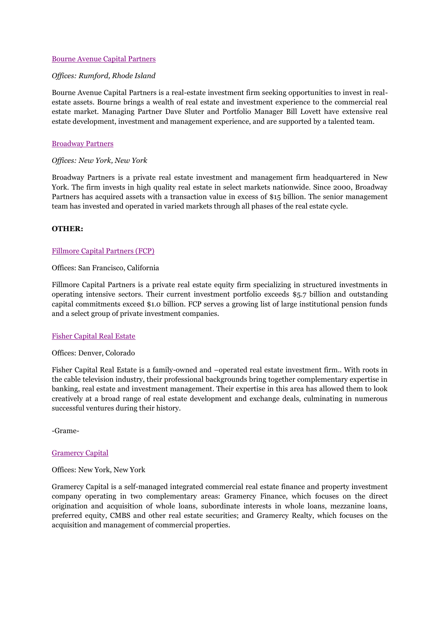### [Bourne Avenue Capital Partners](http://www.bourneavenuecapital.com/)

### *Offices: Rumford, Rhode Island*

Bourne Avenue Capital Partners is a real-estate investment firm seeking opportunities to invest in realestate assets. Bourne brings a wealth of real estate and investment experience to the commercial real estate market. Managing Partner Dave Sluter and Portfolio Manager Bill Lovett have extensive real estate development, investment and management experience, and are supported by a talented team.

### [Broadway Partners](http://www.broadwaypartners.com/)

## *Offices: New York, New York*

Broadway Partners is a private real estate investment and management firm headquartered in New York. The firm invests in high quality real estate in select markets nationwide. Since 2000, Broadway Partners has acquired assets with a transaction value in excess of \$15 billion. The senior management team has invested and operated in varied markets through all phases of the real estate cycle.

## **OTHER:**

## [Fillmore Capital Partners \(FCP\)](http://www.fillmorecap.com/)

#### Offices: San Francisco, California

Fillmore Capital Partners is a private real estate equity firm specializing in structured investments in operating intensive sectors. Their current investment portfolio exceeds \$5.7 billion and outstanding capital commitments exceed \$1.0 billion. FCP serves a growing list of large institutional pension funds and a select group of private investment companies.

#### [Fisher Capital Real Estate](http://www.fisher-capital.com/realestate.html)

#### Offices: Denver, Colorado

Fisher Capital Real Estate is a family-owned and –operated real estate investment firm.. With roots in the cable television industry, their professional backgrounds bring together complementary expertise in banking, real estate and investment management. Their expertise in this area has allowed them to look creatively at a broad range of real estate development and exchange deals, culminating in numerous successful ventures during their history.

-Grame-

#### [Gramercy Capital](http://www.gramercycapitalcorp.com/)

#### Offices: New York, New York

Gramercy Capital is a self-managed integrated commercial real estate finance and property investment company operating in two complementary areas: Gramercy Finance, which focuses on the direct origination and acquisition of whole loans, subordinate interests in whole loans, mezzanine loans, preferred equity, CMBS and other real estate securities; and Gramercy Realty, which focuses on the acquisition and management of commercial properties.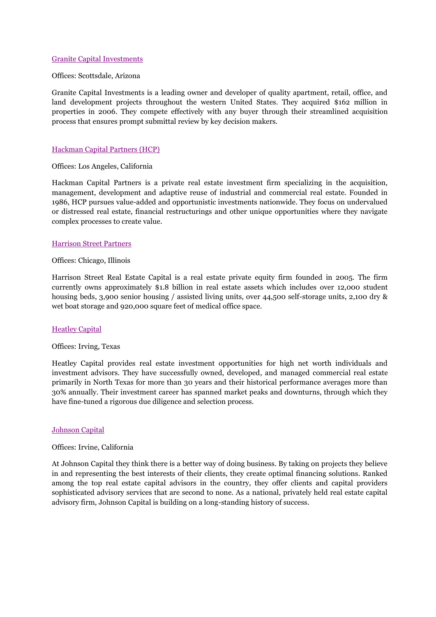## [Granite Capital Investments](http://www.graniteci.com/)

#### Offices: Scottsdale, Arizona

Granite Capital Investments is a leading owner and developer of quality apartment, retail, office, and land development projects throughout the western United States. They acquired \$162 million in properties in 2006. They compete effectively with any buyer through their streamlined acquisition process that ensures prompt submittal review by key decision makers.

#### [Hackman Capital Partners \(HCP\)](http://www.hackmancapital.com/)

#### Offices: Los Angeles, California

Hackman Capital Partners is a private real estate investment firm specializing in the acquisition, management, development and adaptive reuse of industrial and commercial real estate. Founded in 1986, HCP pursues value-added and opportunistic investments nationwide. They focus on undervalued or distressed real estate, financial restructurings and other unique opportunities where they navigate complex processes to create value.

#### [Harrison Street Partners](http://www.harrisonst.com/)

#### Offices: Chicago, Illinois

Harrison Street Real Estate Capital is a real estate private equity firm founded in 2005. The firm currently owns approximately \$1.8 billion in real estate assets which includes over 12,000 student housing beds, 3,900 senior housing / assisted living units, over 44,500 self-storage units, 2,100 dry & wet boat storage and 920,000 square feet of medical office space.

#### **[Heatley Capital](http://www.heatleycapital.com/)**

#### Offices: Irving, Texas

Heatley Capital provides real estate investment opportunities for high net worth individuals and investment advisors. They have successfully owned, developed, and managed commercial real estate primarily in North Texas for more than 30 years and their historical performance averages more than 30% annually. Their investment career has spanned market peaks and downturns, through which they have fine-tuned a rigorous due diligence and selection process.

#### [Johnson Capital](http://www.johnsoncapital.com/)

#### Offices: Irvine, California

At Johnson Capital they think there is a better way of doing business. By taking on projects they believe in and representing the best interests of their clients, they create optimal financing solutions. Ranked among the top real estate capital advisors in the country, they offer clients and capital providers sophisticated advisory services that are second to none. As a national, privately held real estate capital advisory firm, Johnson Capital is building on a long-standing history of success.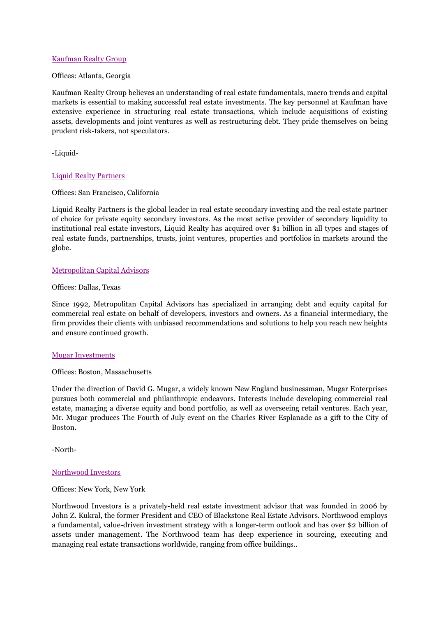## [Kaufman Realty Group](http://www.kaufmaninc.com/)

### Offices: Atlanta, Georgia

Kaufman Realty Group believes an understanding of real estate fundamentals, macro trends and capital markets is essential to making successful real estate investments. The key personnel at Kaufman have extensive experience in structuring real estate transactions, which include acquisitions of existing assets, developments and joint ventures as well as restructuring debt. They pride themselves on being prudent risk-takers, not speculators.

-Liquid-

## [Liquid Realty Partners](http://www.liquidrealty.com/)

## Offices: San Francisco, California

Liquid Realty Partners is the global leader in real estate secondary investing and the real estate partner of choice for private equity secondary investors. As the most active provider of secondary liquidity to institutional real estate investors, Liquid Realty has acquired over \$1 billion in all types and stages of real estate funds, partnerships, trusts, joint ventures, properties and portfolios in markets around the globe.

## [Metropolitan Capital Advisors](http://www.metcapital.com/)

#### Offices: Dallas, Texas

Since 1992, Metropolitan Capital Advisors has specialized in arranging debt and equity capital for commercial real estate on behalf of developers, investors and owners. As a financial intermediary, the firm provides their clients with unbiased recommendations and solutions to help you reach new heights and ensure continued growth.

#### [Mugar Investments](http://www.mugar.com/)

#### Offices: Boston, Massachusetts

Under the direction of David G. Mugar, a widely known New England businessman, Mugar Enterprises pursues both commercial and philanthropic endeavors. Interests include developing commercial real estate, managing a diverse equity and bond portfolio, as well as overseeing retail ventures. Each year, Mr. Mugar produces The Fourth of July event on the Charles River Esplanade as a gift to the City of Boston.

-North-

# [Northwood Investors](http://02a1555.netsolhost.com/)

# Offices: New York, New York

Northwood Investors is a privately-held real estate investment advisor that was founded in 2006 by John Z. Kukral, the former President and CEO of Blackstone Real Estate Advisors. Northwood employs a fundamental, value-driven investment strategy with a longer-term outlook and has over \$2 billion of assets under management. The Northwood team has deep experience in sourcing, executing and managing real estate transactions worldwide, ranging from office buildings..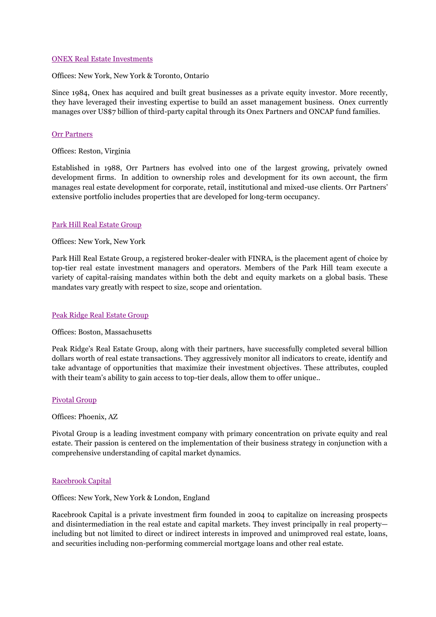#### [ONEX Real Estate Investments](http://www.onex.com/Real_Estate.aspx)

Offices: New York, New York & Toronto, Ontario

Since 1984, Onex has acquired and built great businesses as a private equity investor. More recently, they have leveraged their investing expertise to build an asset management business. Onex currently manages over US\$7 billion of third-party capital through its Onex Partners and ONCAP fund families.

## [Orr Partners](http://www.orrpartners.com/)

Offices: Reston, Virginia

Established in 1988, Orr Partners has evolved into one of the largest growing, privately owned development firms. In addition to ownership roles and development for its own account, the firm manages real estate development for corporate, retail, institutional and mixed-use clients. Orr Partners' extensive portfolio includes properties that are developed for long-term occupancy.

## [Park Hill Real Estate Group](http://www.parkhillgroup.com/)

#### Offices: New York, New York

Park Hill Real Estate Group, a registered broker-dealer with FINRA, is the placement agent of choice by top-tier real estate investment managers and operators. Members of the Park Hill team execute a variety of capital-raising mandates within both the debt and equity markets on a global basis. These mandates vary greatly with respect to size, scope and orientation.

#### [Peak Ridge Real Estate Group](http://www.peakridgecapital.com/)

#### Offices: Boston, Massachusetts

Peak Ridge's Real Estate Group, along with their partners, have successfully completed several billion dollars worth of real estate transactions. They aggressively monitor all indicators to create, identify and take advantage of opportunities that maximize their investment objectives. These attributes, coupled with their team's ability to gain access to top-tier deals, allow them to offer unique..

#### [Pivotal Group](http://www.pivotalgroup.com/)

Offices: Phoenix, AZ

Pivotal Group is a leading investment company with primary concentration on private equity and real estate. Their passion is centered on the implementation of their business strategy in conjunction with a comprehensive understanding of capital market dynamics.

#### [Racebrook Capital](http://www.racebrook.com/)

#### Offices: New York, New York & London, England

Racebrook Capital is a private investment firm founded in 2004 to capitalize on increasing prospects and disintermediation in the real estate and capital markets. They invest principally in real property including but not limited to direct or indirect interests in improved and unimproved real estate, loans, and securities including non-performing commercial mortgage loans and other real estate.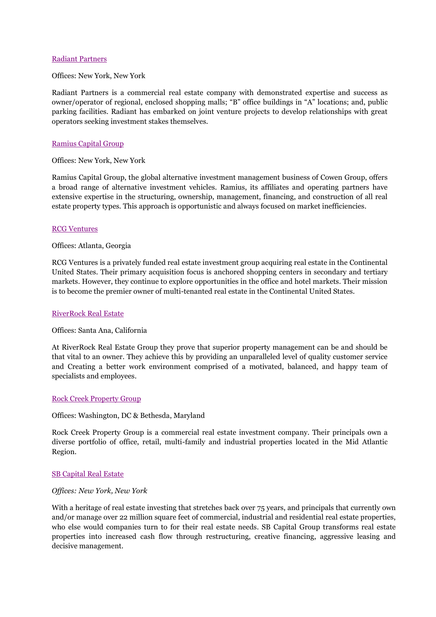### [Radiant Partners](http://www.radiantpartners.com/)

Offices: New York, New York

Radiant Partners is a commercial real estate company with demonstrated expertise and success as owner/operator of regional, enclosed shopping malls; "B" office buildings in "A" locations; and, public parking facilities. Radiant has embarked on joint venture projects to develop relationships with great operators seeking investment stakes themselves.

## [Ramius Capital Group](http://www.ramius.com/)

Offices: New York, New York

Ramius Capital Group, the global alternative investment management business of Cowen Group, offers a broad range of alternative investment vehicles. Ramius, its affiliates and operating partners have extensive expertise in the structuring, ownership, management, financing, and construction of all real estate property types. This approach is opportunistic and always focused on market inefficiencies.

## [RCG Ventures](http://www.rcgventures.com/)

#### Offices: Atlanta, Georgia

RCG Ventures is a privately funded real estate investment group acquiring real estate in the Continental United States. Their primary acquisition focus is anchored shopping centers in secondary and tertiary markets. However, they continue to explore opportunities in the office and hotel markets. Their mission is to become the premier owner of multi-tenanted real estate in the Continental United States.

#### [RiverRock Real Estate](http://www.riverrockreg.com/)

#### Offices: Santa Ana, California

At RiverRock Real Estate Group they prove that superior property management can be and should be that vital to an owner. They achieve this by providing an unparalleled level of quality customer service and Creating a better work environment comprised of a motivated, balanced, and happy team of specialists and employees.

#### [Rock Creek Property Group](http://www.rockcreekpg.com/)

Offices: Washington, DC & Bethesda, Maryland

Rock Creek Property Group is a commercial real estate investment company. Their principals own a diverse portfolio of office, retail, multi-family and industrial properties located in the Mid Atlantic Region.

#### [SB Capital Real Estate](http://www.sbcapitalgroup.com/real_estate/index.html)

#### *Offices: New York, New York*

With a heritage of real estate investing that stretches back over 75 years, and principals that currently own and/or manage over 22 million square feet of commercial, industrial and residential real estate properties, who else would companies turn to for their real estate needs. SB Capital Group transforms real estate properties into increased cash flow through restructuring, creative financing, aggressive leasing and decisive management.